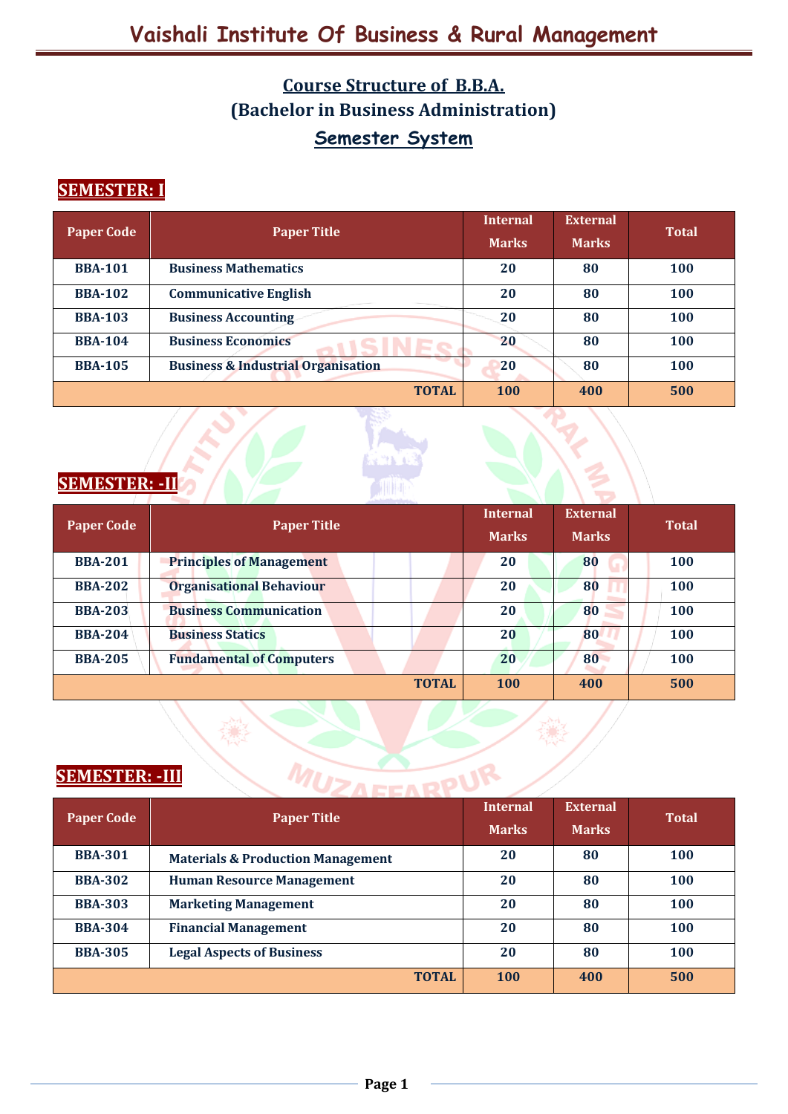## **Course Structure of B.B.A. (Bachelor in Business Administration) Semester System**

### **SEMESTER: I**

| <b>Paper Code</b> | <b>Paper Title</b>                            | <b>Internal</b> | <b>External</b> | <b>Total</b> |
|-------------------|-----------------------------------------------|-----------------|-----------------|--------------|
|                   |                                               | <b>Marks</b>    | <b>Marks</b>    |              |
| <b>BBA-101</b>    | <b>Business Mathematics</b>                   | 20              | 80              | 100          |
| <b>BBA-102</b>    | <b>Communicative English</b>                  | 20              | 80              | 100          |
| <b>BBA-103</b>    | <b>Business Accounting</b>                    | 20              | 80              | <b>100</b>   |
| <b>BBA-104</b>    | <b>Business Economics</b>                     | 20              | 80              | 100          |
| <b>BBA-105</b>    | <b>Business &amp; Industrial Organisation</b> | 20              | 80              | <b>100</b>   |
|                   | <b>TOTAL</b>                                  | <b>100</b>      | 400             | 500          |



#### **SEMESTER: -II**

| <b>Paper Code</b> | <b>Paper Title</b>              | <b>Internal</b><br><b>Marks</b> | <b>External</b><br><b>Marks</b> | <b>Total</b> |
|-------------------|---------------------------------|---------------------------------|---------------------------------|--------------|
| <b>BBA-201</b>    | <b>Principles of Management</b> | 20                              | 80                              | 100          |
| <b>BBA-202</b>    | <b>Organisational Behaviour</b> | 20                              | 80                              | 100          |
| <b>BBA-203</b>    | <b>Business Communication</b>   | 20                              | 80                              | 100          |
| <b>BBA-204</b>    | <b>Business Statics</b>         | 20                              | 80                              | 100          |
| <b>BBA-205</b>    | <b>Fundamental of Computers</b> | 20                              | 80                              | 100          |
|                   | <b>TOTAL</b>                    | <b>100</b>                      | 400                             | 500          |

### **SEMESTER: -III**

| <b>SEMESTER: - III</b> |                                              |                                 |                                 |              |  |  |
|------------------------|----------------------------------------------|---------------------------------|---------------------------------|--------------|--|--|
| <b>Paper Code</b>      | <b>Paper Title</b>                           | <b>Internal</b><br><b>Marks</b> | <b>External</b><br><b>Marks</b> | <b>Total</b> |  |  |
| <b>BBA-301</b>         | <b>Materials &amp; Production Management</b> | 20                              | 80                              | 100          |  |  |
| <b>BBA-302</b>         | <b>Human Resource Management</b>             | 20                              | 80                              | <b>100</b>   |  |  |
| <b>BBA-303</b>         | <b>Marketing Management</b>                  | 20                              | 80                              | <b>100</b>   |  |  |
| <b>BBA-304</b>         | <b>Financial Management</b>                  | 20                              | 80                              | <b>100</b>   |  |  |
| <b>BBA-305</b>         | <b>Legal Aspects of Business</b>             | 20                              | 80                              | <b>100</b>   |  |  |
|                        | <b>TOTAL</b>                                 | 100                             | 400                             | 500          |  |  |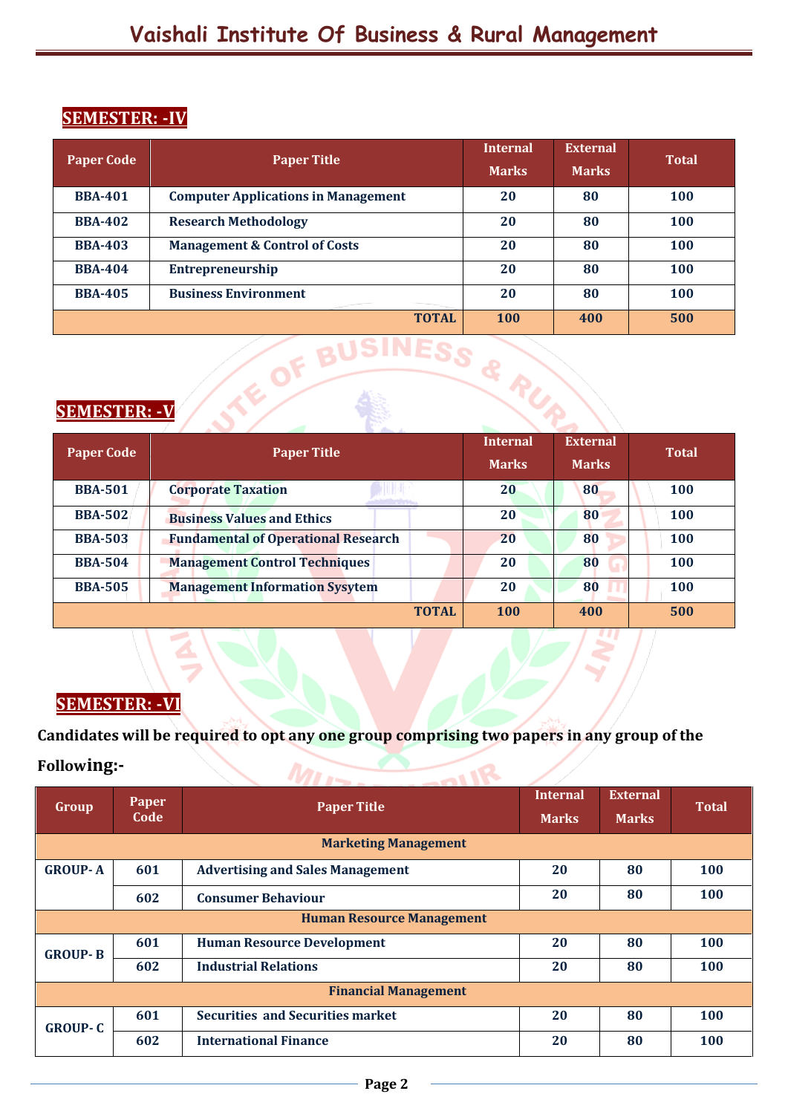#### **SEMESTER: -IV**

| <b>Paper Code</b>    | <b>Paper Title</b>                         | <b>Internal</b> | <b>External</b> | <b>Total</b> |  |  |
|----------------------|--------------------------------------------|-----------------|-----------------|--------------|--|--|
|                      |                                            | <b>Marks</b>    | <b>Marks</b>    |              |  |  |
| <b>BBA-401</b>       | <b>Computer Applications in Management</b> | 20              | 80              | <b>100</b>   |  |  |
| <b>BBA-402</b>       | <b>Research Methodology</b>                | 20              | 80              | 100          |  |  |
| <b>BBA-403</b>       | <b>Management &amp; Control of Costs</b>   | 20              | 80              | 100          |  |  |
| <b>BBA-404</b>       | <b>Entrepreneurship</b>                    | 20              | 80              | 100          |  |  |
| <b>BBA-405</b>       | <b>Business Environment</b>                | 20              | 80              | 100          |  |  |
|                      | <b>TOTAL</b>                               | <b>100</b>      | 400             | 500          |  |  |
| <b>SEMESTER: - V</b> |                                            |                 |                 |              |  |  |

#### **SEMESTER: -V**

| <b>Paper Code</b> | <b>Paper Title</b>                         | <b>Internal</b> | <b>External</b> | <b>Total</b> |
|-------------------|--------------------------------------------|-----------------|-----------------|--------------|
|                   |                                            | <b>Marks</b>    | <b>Marks</b>    |              |
| <b>BBA-501</b>    | <b>Corporate Taxation</b>                  | 20              | 80              | 100          |
| <b>BBA-502</b>    | <b>Business Values and Ethics</b>          | 20              | 80              | <b>100</b>   |
| <b>BBA-503</b>    | <b>Fundamental of Operational Research</b> | 20              | 80              | <b>100</b>   |
| <b>BBA-504</b>    | <b>Management Control Techniques</b>       | 20              | 80              | 100          |
| <b>BBA-505</b>    | <b>Management Information Sysytem</b>      | 20              | 80              | 100          |
|                   | 100                                        | 400             | 500             |              |

### **SEMESTER: -VI**

**Candidates will be required to opt any one group comprising two papers in any group of the**   $M112.701R$ **Following:-** 

| Group                            | Paper<br>Code | <b>Paper Title</b>                      | <b>Internal</b><br><b>Marks</b> | <b>External</b><br><b>Marks</b> | <b>Total</b> |  |
|----------------------------------|---------------|-----------------------------------------|---------------------------------|---------------------------------|--------------|--|
|                                  |               | <b>Marketing Management</b>             |                                 |                                 |              |  |
| <b>GROUP-A</b>                   | 601           | <b>Advertising and Sales Management</b> | 20                              | 80                              | 100          |  |
|                                  | 602           | <b>Consumer Behaviour</b>               | 20                              | 80                              | 100          |  |
| <b>Human Resource Management</b> |               |                                         |                                 |                                 |              |  |
| <b>GROUP-B</b>                   | 601           | <b>Human Resource Development</b>       | 20                              | 80                              | 100          |  |
|                                  | 602           | <b>Industrial Relations</b>             | 20                              | 80                              | 100          |  |
| <b>Financial Management</b>      |               |                                         |                                 |                                 |              |  |
| <b>GROUP-C</b>                   | 601           | <b>Securities and Securities market</b> | 20                              | 80                              | 100          |  |
|                                  | 602           | <b>International Finance</b>            | 20                              | 80                              | 100          |  |